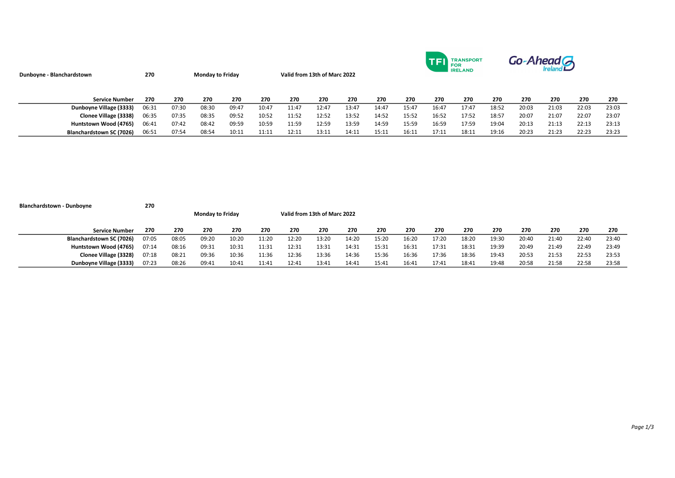| Dunboyne - Blanchardstown | 270   |       | <b>Monday to Friday</b> |       |       | Valid from 13th of Marc 2022 |       |       |       | <b>TRANSPORT</b><br><b>FOR</b><br><b>IRELAND</b> |       |       |       | Go-Ahead A |       |       |       |  |  |
|---------------------------|-------|-------|-------------------------|-------|-------|------------------------------|-------|-------|-------|--------------------------------------------------|-------|-------|-------|------------|-------|-------|-------|--|--|
| <b>Service Number</b>     | 270   | 270   | 270                     | 270   | 270   | 270                          | 270   | 270   | 270   | 270                                              | 270   | 270   | 270   | 270        | 270   | 270   | 270   |  |  |
| Dunboyne Village (3333)   | 06:31 | 07:30 | 08:30                   | 09:47 | 10:47 | 11:47                        | 12:47 | 13:47 | 14:47 | 15:47                                            | 16:47 | 17:47 | 18:52 | 20:03      | 21:03 | 22:03 | 23:03 |  |  |
| Clonee Village (3338)     | 06:35 | 07:35 | 08:35                   | 09:52 | 10:52 | 11:52                        | 12:52 | 13:52 | 14:52 | 15:52                                            | 16:52 | 17:52 | 18:57 | 20:07      | 21:07 | 22:07 | 23:07 |  |  |
| Huntstown Wood (4765)     | 06:41 | 07:42 | 08:42                   | 09:59 | 10:59 | 11:59                        | 12:59 | 13:59 | 14:59 | 15:59                                            | 16:59 | 17:59 | 19:04 | 20:13      | 21:13 | 22:13 | 23:13 |  |  |
| Blanchardstown SC (7026)  | 06:51 | 07:54 | 08:54                   | 10:11 | 11:11 | 12:11                        | 13:11 | 14:11 | 15:11 | 16:11                                            | 17:11 | 18:11 | 19:16 | 20:23      | 21:23 | 22:23 | 23:23 |  |  |

| <b>Blanchardstown - Dunboyne</b> | 270   |                         |       |       |       |                              |       |       |       |       |       |       |       |       |       |       |       |
|----------------------------------|-------|-------------------------|-------|-------|-------|------------------------------|-------|-------|-------|-------|-------|-------|-------|-------|-------|-------|-------|
|                                  |       | <b>Monday to Friday</b> |       |       |       | Valid from 13th of Marc 2022 |       |       |       |       |       |       |       |       |       |       |       |
| <b>Service Number</b>            | 270   | 270                     | 270   | 270   | 270   | 270                          | 270   | 270   | 270   | 270   | 270   | 270   | 270   | 270   | 270   | 270   | 270   |
| Blanchardstown SC (7026)         | 07:05 | 08:05                   | 09:20 | 10:20 | 11:20 | 12:20                        | 13:20 | 14:20 | 15:20 | 16:20 | 17:20 | 18:20 | 19:30 | 20:40 | 21:40 | 22:40 | 23:40 |
| Huntstown Wood (4765)            | 07:14 | 08:16                   | 09:31 | 10:31 | 11:31 | 12:31                        | 13:31 | 14:31 | 15:31 | 16:31 | 17:31 | 18:31 | 19:39 | 20:49 | 21:49 | 22:49 | 23:49 |
| Clonee Village (3328)            | 07:18 | 08:21                   | 09:36 | 10:36 | 11:36 | 12:36                        | 13:36 | 14:36 | 15:36 | 16:36 | 17:36 | 18:36 | 19:43 | 20:53 | 21:53 | 22:53 | 23:53 |
| Dunboyne Village (3333)          | 07:23 | 08:26                   | 09:41 | 10:41 | 11:41 | 12:41                        | 13:41 | 14:41 | 15:41 | 16:41 | 17:41 | 18:41 | 19:48 | 20:58 | 21:58 | 22:58 | 23:58 |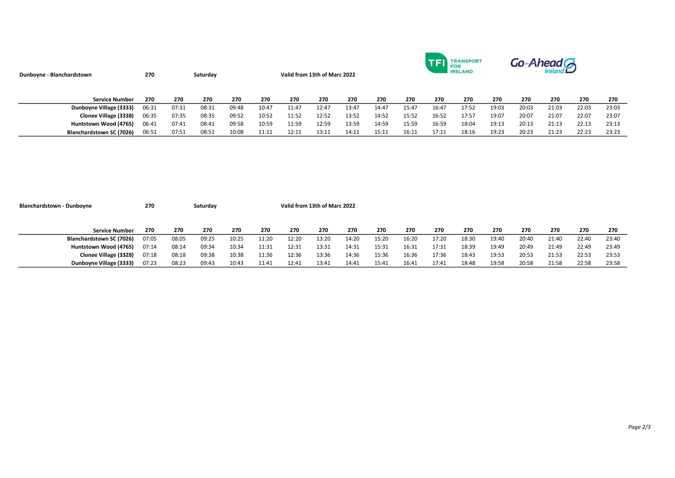| Dunboyne - Blanchardstown | 270   |       | Saturday | Valid from 13th of Marc 2022 |       |       |       |       |       |       | <b>FOR</b> | <b>TRANSPORT</b><br><b>IRELAND</b> |       | Go-Ahead G |       |       |       |  |
|---------------------------|-------|-------|----------|------------------------------|-------|-------|-------|-------|-------|-------|------------|------------------------------------|-------|------------|-------|-------|-------|--|
| <b>Service Number</b>     | 270   | 270   | 270      | 270                          | 270   | 270   | 270   | 270   | 270   | 270   | 270        | 270                                | 270   | 270        | 270   | 270   | 270   |  |
| Dunboyne Village (3333)   | 06:31 | 07:31 | 08:31    | 09:48                        | 10:47 | 11:47 | 12:47 | 13:47 | 14:47 | 15:47 | 16:47      | 17:52                              | 19:03 | 20:03      | 21:03 | 22:03 | 23:03 |  |
| Clonee Village (3338)     | 06:35 | 07:35 | 08:35    | 09:52                        | 10:52 | 11:52 | 12:52 | 13:52 | 14:52 | 15:52 | 16:52      | 17:57                              | 19:07 | 20:07      | 21:07 | 22:07 | 23:07 |  |
| Huntstown Wood (4765)     | 06:41 | 07:41 | 08:41    | 09:58                        | 10:59 | 11:59 | 12:59 | 13:59 | 14:59 | 15:59 | 16:59      | 18:04                              | 19:13 | 20:13      | 21:13 | 22:13 | 23:13 |  |
| Blanchardstown SC (7026)  | 06:51 | 07:51 | 08:51    | 10:08                        | 11:11 | 12:11 | 13:11 | 14:11 | 15:11 | 16:11 | 17:11      | 18:16                              | 19:23 | 20:23      | 21:23 | 22:23 | 23:23 |  |

| <b>Blanchardstown - Dunboyne</b> | 270   |       | Saturday |       |       | Valid from 13th of Marc 2022 |       |       |       |       |       |       |       |       |       |       |       |
|----------------------------------|-------|-------|----------|-------|-------|------------------------------|-------|-------|-------|-------|-------|-------|-------|-------|-------|-------|-------|
|                                  |       |       |          |       |       |                              |       |       |       |       |       |       |       |       |       |       |       |
|                                  |       |       |          |       |       |                              |       |       |       |       |       |       |       |       |       |       |       |
| <b>Service Number</b>            | 270   | 270   | 270      | 270   | 270   | 270                          | 270   | 270   | 270   | 270   | 270   | 270   | 270   | 270   | 270   | 270   | 270   |
| Blanchardstown SC (7026)         | 07:05 | 08:05 | 09:25    | 10:25 | 11:20 | 12:20                        | 13:20 | 14:20 | 15:20 | 16:20 | 17:20 | 18:30 | 19:40 | 20:40 | 21:40 | 22:40 | 23:40 |
| Huntstown Wood (4765)            | 07:14 | 08:14 | 09:34    | 10:34 | 11:31 | 12:31                        | 13:31 | 14:31 | 15:31 | 16:31 | 17:31 | 18:39 | 19:49 | 20:49 | 21:49 | 22:49 | 23:49 |
| Clonee Village (3328)            | 07:18 | 08:18 | 09:38    | 10:38 | 11:36 | 12:36                        | 13:36 | 14:36 | 15:36 | 16:36 | 17:36 | 18:43 | 19:53 | 20:53 | 21:53 | 22:53 | 23:53 |
| Dunboyne Village (3333)          | 07:23 | 08:23 | 09:43    | 10:43 | 11:41 | 12:41                        | 13:41 | 14:41 | 15:41 | 16:41 | 17:41 | 18:48 | 19:58 | 20:58 | 21:58 | 22:58 | 23:58 |